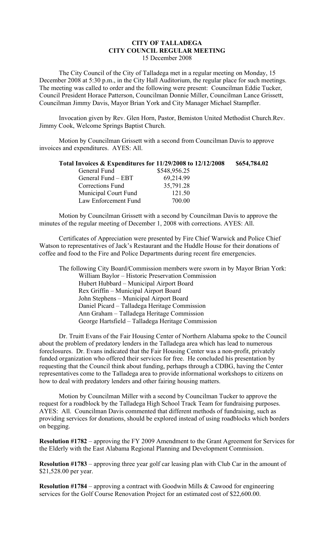## **CITY OF TALLADEGA CITY COUNCIL REGULAR MEETING** 15 December 2008

The City Council of the City of Talladega met in a regular meeting on Monday, 15 December 2008 at 5:30 p.m., in the City Hall Auditorium, the regular place for such meetings. The meeting was called to order and the following were present: Councilman Eddie Tucker, Council President Horace Patterson, Councilman Donnie Miller, Councilman Lance Grissett, Councilman Jimmy Davis, Mayor Brian York and City Manager Michael Stampfler.

Invocation given by Rev. Glen Horn, Pastor, Bemiston United Methodist Church.Rev. Jimmy Cook, Welcome Springs Baptist Church.

Motion by Councilman Grissett with a second from Councilman Davis to approve invoices and expenditures. AYES: All.

| Total Invoices & Expenditures for 11/29/2008 to 12/12/2008 |              | \$654,784.02 |
|------------------------------------------------------------|--------------|--------------|
| General Fund                                               | \$548,956.25 |              |
| General Fund – EBT                                         | 69,214.99    |              |
| Corrections Fund                                           | 35,791.28    |              |
| Municipal Court Fund                                       | 121.50       |              |
| Law Enforcement Fund                                       | 700.00       |              |

Motion by Councilman Grissett with a second by Councilman Davis to approve the minutes of the regular meeting of December 1, 2008 with corrections. AYES: All.

Certificates of Appreciation were presented by Fire Chief Warwick and Police Chief Watson to representatives of Jack's Restaurant and the Huddle House for their donations of coffee and food to the Fire and Police Departments during recent fire emergencies.

The following City Board/Commission members were sworn in by Mayor Brian York: William Baylor – Historic Preservation Commission Hubert Hubbard – Municipal Airport Board Rex Griffin – Municipal Airport Board John Stephens – Municipal Airport Board Daniel Picard – Talladega Heritage Commission Ann Graham – Talladega Heritage Commission George Hartsfield – Talladega Heritage Commission

Dr. Truitt Evans of the Fair Housing Center of Northern Alabama spoke to the Council about the problem of predatory lenders in the Talladega area which has lead to numerous foreclosures. Dr. Evans indicated that the Fair Housing Center was a non-profit, privately funded organization who offered their services for free. He concluded his presentation by requesting that the Council think about funding, perhaps through a CDBG, having the Center representatives come to the Talladega area to provide informational workshops to citizens on how to deal with predatory lenders and other fairing housing matters.

Motion by Councilman Miller with a second by Councilman Tucker to approve the request for a roadblock by the Talladega High School Track Team for fundraising purposes. AYES: All. Councilman Davis commented that different methods of fundraising, such as providing services for donations, should be explored instead of using roadblocks which borders on begging.

**Resolution #1782** – approving the FY 2009 Amendment to the Grant Agreement for Services for the Elderly with the East Alabama Regional Planning and Development Commission.

**Resolution #1783** – approving three year golf car leasing plan with Club Car in the amount of \$21,528.00 per year.

**Resolution #1784** – approving a contract with Goodwin Mills & Cawood for engineering services for the Golf Course Renovation Project for an estimated cost of \$22,600.00.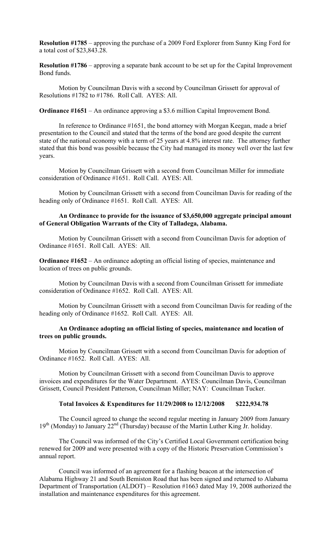**Resolution #1785** – approving the purchase of a 2009 Ford Explorer from Sunny King Ford for a total cost of \$23,843.28.

**Resolution #1786** – approving a separate bank account to be set up for the Capital Improvement Bond funds.

Motion by Councilman Davis with a second by Councilman Grissett for approval of Resolutions #1782 to #1786. Roll Call. AYES: All.

**Ordinance #1651** – An ordinance approving a \$3.6 million Capital Improvement Bond.

In reference to Ordinance #1651, the bond attorney with Morgan Keegan, made a brief presentation to the Council and stated that the terms of the bond are good despite the current state of the national economy with a term of 25 years at 4.8% interest rate. The attorney further stated that this bond was possible because the City had managed its money well over the last few years.

Motion by Councilman Grissett with a second from Councilman Miller for immediate consideration of Ordinance #1651. Roll Call. AYES: All.

Motion by Councilman Grissett with a second from Councilman Davis for reading of the heading only of Ordinance #1651. Roll Call. AYES: All.

## **An Ordinance to provide for the issuance of \$3,650,000 aggregate principal amount of General Obligation Warrants of the City of Talladega, Alabama.**

Motion by Councilman Grissett with a second from Councilman Davis for adoption of Ordinance #1651. Roll Call. AYES: All.

**Ordinance #1652** – An ordinance adopting an official listing of species, maintenance and location of trees on public grounds.

Motion by Councilman Davis with a second from Councilman Grissett for immediate consideration of Ordinance #1652. Roll Call. AYES: All.

Motion by Councilman Grissett with a second from Councilman Davis for reading of the heading only of Ordinance #1652. Roll Call. AYES: All.

## **An Ordinance adopting an official listing of species, maintenance and location of trees on public grounds.**

Motion by Councilman Grissett with a second from Councilman Davis for adoption of Ordinance #1652. Roll Call. AYES: All.

Motion by Councilman Grissett with a second from Councilman Davis to approve invoices and expenditures for the Water Department. AYES: Councilman Davis, Councilman Grissett, Council President Patterson, Councilman Miller; NAY: Councilman Tucker.

## **Total Invoices & Expenditures for 11/29/2008 to 12/12/2008 \$222,934.78**

The Council agreed to change the second regular meeting in January 2009 from January  $19<sup>th</sup>$  (Monday) to January 22<sup>nd</sup> (Thursday) because of the Martin Luther King Jr. holiday.

The Council was informed of the City's Certified Local Government certification being renewed for 2009 and were presented with a copy of the Historic Preservation Commission's annual report.

Council was informed of an agreement for a flashing beacon at the intersection of Alabama Highway 21 and South Bemiston Road that has been signed and returned to Alabama Department of Transportation (ALDOT) – Resolution #1663 dated May 19, 2008 authorized the installation and maintenance expenditures for this agreement.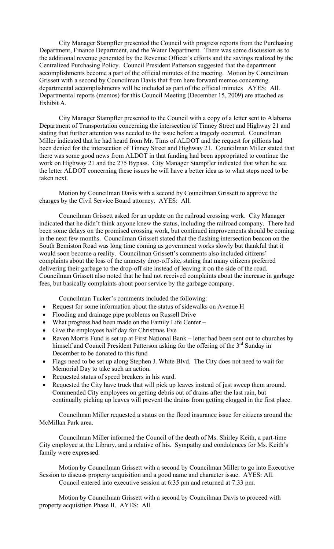City Manager Stampfler presented the Council with progress reports from the Purchasing Department, Finance Department, and the Water Department. There was some discussion as to the additional revenue generated by the Revenue Officer's efforts and the savings realized by the Centralized Purchasing Policy. Council President Patterson suggested that the department accomplishments become a part of the official minutes of the meeting. Motion by Councilman Grissett with a second by Councilman Davis that from here forward memos concerning departmental accomplishments will be included as part of the official minutes AYES: All. Departmental reports (memos) for this Council Meeting (December 15, 2009) are attached as Exhibit A.

City Manager Stampfler presented to the Council with a copy of a letter sent to Alabama Department of Transportation concerning the intersection of Tinney Street and Highway 21 and stating that further attention was needed to the issue before a tragedy occurred. Councilman Miller indicated that he had heard from Mr. Tims of ALDOT and the request for pillions had been denied for the intersection of Tinney Street and Highway 21. Councilman Miller stated that there was some good news from ALDOT in that funding had been appropriated to continue the work on Highway 21 and the 275 Bypass. City Manager Stampfler indicated that when he see the letter ALDOT concerning these issues he will have a better idea as to what steps need to be taken next.

Motion by Councilman Davis with a second by Councilman Grissett to approve the charges by the Civil Service Board attorney. AYES: All.

Councilman Grissett asked for an update on the railroad crossing work. City Manager indicated that he didn't think anyone knew the status, including the railroad company. There had been some delays on the promised crossing work, but continued improvements should be coming in the next few months. Councilman Grissett stated that the flashing intersection beacon on the South Bemiston Road was long time coming as government works slowly but thankful that it would soon become a reality. Councilman Grissett's comments also included citizens' complaints about the loss of the amnesty drop-off site, stating that many citizens preferred delivering their garbage to the drop-off site instead of leaving it on the side of the road. Councilman Grissett also noted that he had not received complaints about the increase in garbage fees, but basically complaints about poor service by the garbage company.

Councilman Tucker's comments included the following:

- Request for some information about the status of sidewalks on Avenue H
- Flooding and drainage pipe problems on Russell Drive
- What progress had been made on the Family Life Center –
- Give the employees half day for Christmas Eve
- Raven Morris Fund is set up at First National Bank letter had been sent out to churches by himself and Council President Patterson asking for the offering of the 3<sup>rd</sup> Sunday in December to be donated to this fund
- Flags need to be set up along Stephen J. White Blvd. The City does not need to wait for Memorial Day to take such an action.
- Requested status of speed breakers in his ward.
- Requested the City have truck that will pick up leaves instead of just sweep them around. Commended City employees on getting debris out of drains after the last rain, but continually picking up leaves will prevent the drains from getting clogged in the first place.

Councilman Miller requested a status on the flood insurance issue for citizens around the McMillan Park area.

Councilman Miller informed the Council of the death of Ms. Shirley Keith, a part-time City employee at the Library, and a relative of his. Sympathy and condolences for Ms. Keith's family were expressed.

Motion by Councilman Grissett with a second by Councilman Miller to go into Executive Session to discuss property acquisition and a good name and character issue. AYES: All. Council entered into executive session at 6:35 pm and returned at 7:33 pm.

Motion by Councilman Grissett with a second by Councilman Davis to proceed with property acquisition Phase II. AYES: All.